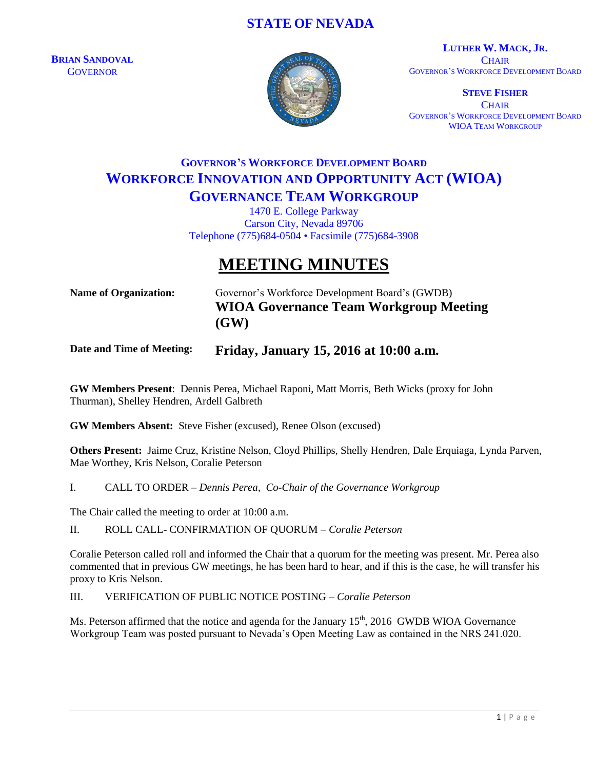## **STATE OF NEVADA**

**BRIAN SANDOVAL GOVERNOR** 



**LUTHER W. MACK, JR. CHAIR** GOVERNOR'S WORKFORCE DEVELOPMENT BOARD

**STEVE FISHER CHAIR** GOVERNOR'S WORKFORCE DEVELOPMENT BOARD WIOA TEAM WORKGROUP

# **GOVERNOR'S WORKFORCE DEVELOPMENT BOARD WORKFORCE INNOVATION AND OPPORTUNITY ACT (WIOA) GOVERNANCE TEAM WORKGROUP**

1470 E. College Parkway Carson City, Nevada 89706 Telephone (775)684-0504 • Facsimile (775)684-3908

# **MEETING MINUTES**

**Name of Organization:** Governor's Workforce Development Board's (GWDB) **WIOA Governance Team Workgroup Meeting (GW)**

### **Date and Time of Meeting: Friday, January 15, 2016 at 10:00 a.m.**

**GW Members Present**: Dennis Perea, Michael Raponi, Matt Morris, Beth Wicks (proxy for John Thurman), Shelley Hendren, Ardell Galbreth

**GW Members Absent:** Steve Fisher (excused), Renee Olson (excused)

**Others Present:** Jaime Cruz, Kristine Nelson, Cloyd Phillips, Shelly Hendren, Dale Erquiaga, Lynda Parven, Mae Worthey, Kris Nelson, Coralie Peterson

I. CALL TO ORDER – *Dennis Perea, Co-Chair of the Governance Workgroup*

The Chair called the meeting to order at 10:00 a.m.

II. ROLL CALL- CONFIRMATION OF QUORUM – *Coralie Peterson*

Coralie Peterson called roll and informed the Chair that a quorum for the meeting was present. Mr. Perea also commented that in previous GW meetings, he has been hard to hear, and if this is the case, he will transfer his proxy to Kris Nelson.

III. VERIFICATION OF PUBLIC NOTICE POSTING – *Coralie Peterson*

Ms. Peterson affirmed that the notice and agenda for the January 15<sup>th</sup>, 2016 GWDB WIOA Governance Workgroup Team was posted pursuant to Nevada's Open Meeting Law as contained in the NRS 241.020.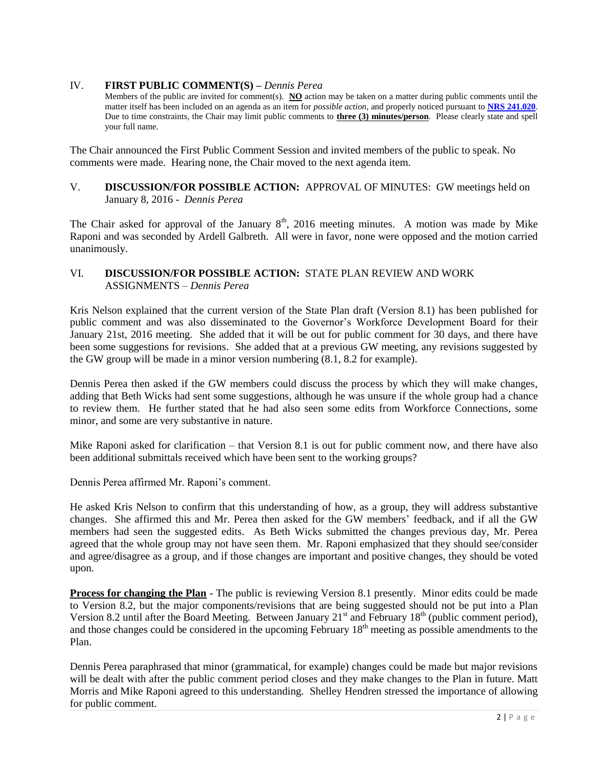#### IV. **FIRST PUBLIC COMMENT(S) –** *Dennis Perea*

Members of the public are invited for comment(s). **NO** action may be taken on a matter during public comments until the matter itself has been included on an agenda as an item for *possible action*, and properly noticed pursuant to **[NRS 241.020](http://www.leg.state.nv.us/NRS/NRS-241.html#NRS241Sec020)**. Due to time constraints, the Chair may limit public comments to **three (3) minutes/person**. Please clearly state and spell your full name.

The Chair announced the First Public Comment Session and invited members of the public to speak. No comments were made. Hearing none, the Chair moved to the next agenda item.

#### V. **DISCUSSION/FOR POSSIBLE ACTION:** APPROVAL OF MINUTES: GW meetings held on January 8, 2016 - *Dennis Perea*

The Chair asked for approval of the January  $8<sup>th</sup>$ , 2016 meeting minutes. A motion was made by Mike Raponi and was seconded by Ardell Galbreth. All were in favor, none were opposed and the motion carried unanimously.

#### VI. **DISCUSSION/FOR POSSIBLE ACTION:** STATE PLAN REVIEW AND WORK ASSIGNMENTS – *Dennis Perea*

Kris Nelson explained that the current version of the State Plan draft (Version 8.1) has been published for public comment and was also disseminated to the Governor's Workforce Development Board for their January 21st, 2016 meeting. She added that it will be out for public comment for 30 days, and there have been some suggestions for revisions. She added that at a previous GW meeting, any revisions suggested by the GW group will be made in a minor version numbering (8.1, 8.2 for example).

Dennis Perea then asked if the GW members could discuss the process by which they will make changes, adding that Beth Wicks had sent some suggestions, although he was unsure if the whole group had a chance to review them. He further stated that he had also seen some edits from Workforce Connections, some minor, and some are very substantive in nature.

Mike Raponi asked for clarification – that Version 8.1 is out for public comment now, and there have also been additional submittals received which have been sent to the working groups?

Dennis Perea affirmed Mr. Raponi's comment.

He asked Kris Nelson to confirm that this understanding of how, as a group, they will address substantive changes. She affirmed this and Mr. Perea then asked for the GW members' feedback, and if all the GW members had seen the suggested edits. As Beth Wicks submitted the changes previous day, Mr. Perea agreed that the whole group may not have seen them. Mr. Raponi emphasized that they should see/consider and agree/disagree as a group, and if those changes are important and positive changes, they should be voted upon.

**Process for changing the Plan** - The public is reviewing Version 8.1 presently. Minor edits could be made to Version 8.2, but the major components/revisions that are being suggested should not be put into a Plan Version 8.2 until after the Board Meeting. Between January  $21<sup>st</sup>$  and February  $18<sup>th</sup>$  (public comment period), and those changes could be considered in the upcoming February 18<sup>th</sup> meeting as possible amendments to the Plan.

Dennis Perea paraphrased that minor (grammatical, for example) changes could be made but major revisions will be dealt with after the public comment period closes and they make changes to the Plan in future. Matt Morris and Mike Raponi agreed to this understanding. Shelley Hendren stressed the importance of allowing for public comment.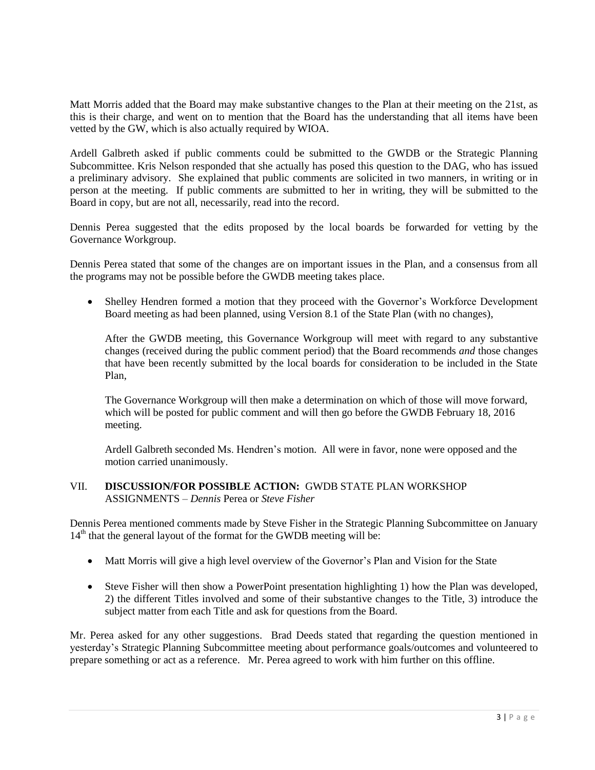Matt Morris added that the Board may make substantive changes to the Plan at their meeting on the 21st, as this is their charge, and went on to mention that the Board has the understanding that all items have been vetted by the GW, which is also actually required by WIOA.

Ardell Galbreth asked if public comments could be submitted to the GWDB or the Strategic Planning Subcommittee. Kris Nelson responded that she actually has posed this question to the DAG, who has issued a preliminary advisory. She explained that public comments are solicited in two manners, in writing or in person at the meeting. If public comments are submitted to her in writing, they will be submitted to the Board in copy, but are not all, necessarily, read into the record.

Dennis Perea suggested that the edits proposed by the local boards be forwarded for vetting by the Governance Workgroup.

Dennis Perea stated that some of the changes are on important issues in the Plan, and a consensus from all the programs may not be possible before the GWDB meeting takes place.

 Shelley Hendren formed a motion that they proceed with the Governor's Workforce Development Board meeting as had been planned, using Version 8.1 of the State Plan (with no changes),

After the GWDB meeting, this Governance Workgroup will meet with regard to any substantive changes (received during the public comment period) that the Board recommends *and* those changes that have been recently submitted by the local boards for consideration to be included in the State Plan,

The Governance Workgroup will then make a determination on which of those will move forward, which will be posted for public comment and will then go before the GWDB February 18, 2016 meeting.

Ardell Galbreth seconded Ms. Hendren's motion. All were in favor, none were opposed and the motion carried unanimously.

#### VII. **DISCUSSION/FOR POSSIBLE ACTION:** GWDB STATE PLAN WORKSHOP ASSIGNMENTS – *Dennis* Perea or *Steve Fisher*

Dennis Perea mentioned comments made by Steve Fisher in the Strategic Planning Subcommittee on January  $14<sup>th</sup>$  that the general layout of the format for the GWDB meeting will be:

- Matt Morris will give a high level overview of the Governor's Plan and Vision for the State
- Steve Fisher will then show a PowerPoint presentation highlighting 1) how the Plan was developed, 2) the different Titles involved and some of their substantive changes to the Title, 3) introduce the subject matter from each Title and ask for questions from the Board.

Mr. Perea asked for any other suggestions. Brad Deeds stated that regarding the question mentioned in yesterday's Strategic Planning Subcommittee meeting about performance goals/outcomes and volunteered to prepare something or act as a reference. Mr. Perea agreed to work with him further on this offline.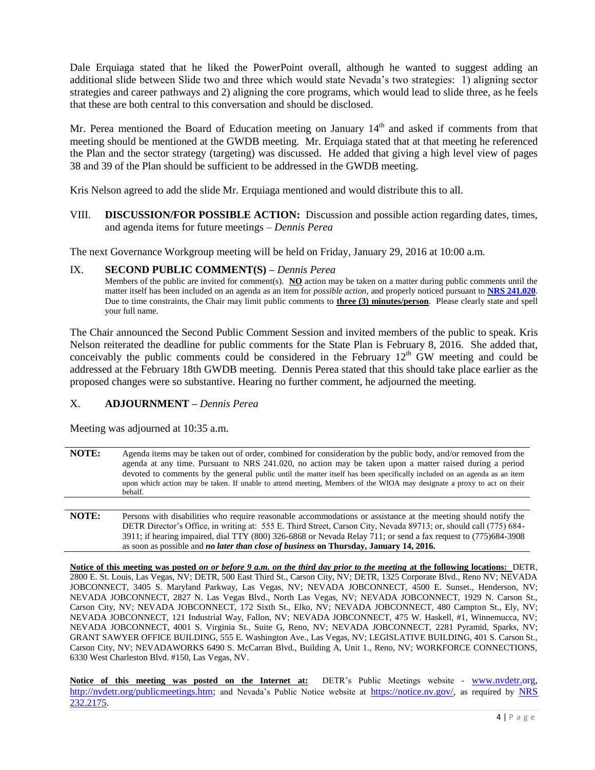Dale Erquiaga stated that he liked the PowerPoint overall, although he wanted to suggest adding an additional slide between Slide two and three which would state Nevada's two strategies: 1) aligning sector strategies and career pathways and 2) aligning the core programs, which would lead to slide three, as he feels that these are both central to this conversation and should be disclosed.

Mr. Perea mentioned the Board of Education meeting on January 14<sup>th</sup> and asked if comments from that meeting should be mentioned at the GWDB meeting. Mr. Erquiaga stated that at that meeting he referenced the Plan and the sector strategy (targeting) was discussed. He added that giving a high level view of pages 38 and 39 of the Plan should be sufficient to be addressed in the GWDB meeting.

Kris Nelson agreed to add the slide Mr. Erquiaga mentioned and would distribute this to all.

VIII. **DISCUSSION/FOR POSSIBLE ACTION:** Discussion and possible action regarding dates, times, and agenda items for future meetings – *Dennis Perea* 

The next Governance Workgroup meeting will be held on Friday, January 29, 2016 at 10:00 a.m.

#### IX. **SECOND PUBLIC COMMENT(S) –** *Dennis Perea*

Members of the public are invited for comment(s). **NO** action may be taken on a matter during public comments until the matter itself has been included on an agenda as an item for *possible action*, and properly noticed pursuant to **[NRS 241.020](http://www.leg.state.nv.us/NRS/NRS-241.html#NRS241Sec020)**. Due to time constraints, the Chair may limit public comments to **three (3) minutes/person**. Please clearly state and spell your full name.

The Chair announced the Second Public Comment Session and invited members of the public to speak. Kris Nelson reiterated the deadline for public comments for the State Plan is February 8, 2016. She added that, conceivably the public comments could be considered in the February  $12<sup>th</sup>$  GW meeting and could be addressed at the February 18th GWDB meeting. Dennis Perea stated that this should take place earlier as the proposed changes were so substantive. Hearing no further comment, he adjourned the meeting.

#### X. **ADJOURNMENT –** *Dennis Perea*

Meeting was adjourned at 10:35 a.m.

- **NOTE:** Agenda items may be taken out of order, combined for consideration by the public body, and/or removed from the agenda at any time. Pursuant to NRS 241.020, no action may be taken upon a matter raised during a period devoted to comments by the general public until the matter itself has been specifically included on an agenda as an item upon which action may be taken. If unable to attend meeting, Members of the WIOA may designate a proxy to act on their behalf.
- **NOTE:** Persons with disabilities who require reasonable accommodations or assistance at the meeting should notify the DETR Director's Office, in writing at: 555 E. Third Street, Carson City, Nevada 89713; or, should call (775) 684- 3911; if hearing impaired, dial TTY (800) 326-6868 or Nevada Relay 711; or send a fax request to (775)684-3908 as soon as possible and *no later than close of business* **on Thursday, January 14, 2016.**

**Notice of this meeting was posted** *on or before 9 a.m. on the third day prior to the meeting* **at the following locations:** DETR, 2800 E. St. Louis, Las Vegas, NV; DETR, 500 East Third St., Carson City, NV; DETR, 1325 Corporate Blvd., Reno NV; NEVADA JOBCONNECT, 3405 S. Maryland Parkway, Las Vegas, NV; NEVADA JOBCONNECT, 4500 E. Sunset., Henderson, NV; NEVADA JOBCONNECT, 2827 N. Las Vegas Blvd., North Las Vegas, NV; NEVADA JOBCONNECT, 1929 N. Carson St., Carson City, NV; NEVADA JOBCONNECT, 172 Sixth St., Elko, NV; NEVADA JOBCONNECT, 480 Campton St., Ely, NV; NEVADA JOBCONNECT, 121 Industrial Way, Fallon, NV; NEVADA JOBCONNECT, 475 W. Haskell, #1, Winnemucca, NV; NEVADA JOBCONNECT, 4001 S. Virginia St., Suite G, Reno, NV; NEVADA JOBCONNECT, 2281 Pyramid, Sparks, NV; GRANT SAWYER OFFICE BUILDING, 555 E. Washington Ave., Las Vegas, NV; LEGISLATIVE BUILDING, 401 S. Carson St., Carson City, NV; NEVADAWORKS 6490 S. McCarran Blvd., Building A, Unit 1., Reno, NV; WORKFORCE CONNECTIONS, 6330 West Charleston Blvd. #150, Las Vegas, NV.

**Notice of this meeting was posted on the Internet at:** DETR's Public Meetings website - [www.nvdetr.org,](http://www.nvdetr.org/) [http://nvdetr.org/publicmeetings.htm;](http://nvdetr.org/publicmeetings.htm) and Nevada's Public Notice website at [https://notice.nv.gov/,](https://notice.nv.gov/) as required by NRS [232.2175.](http://www.leg.state.nv.us/NRS/NRS-232.html#NRS232Sec2175)